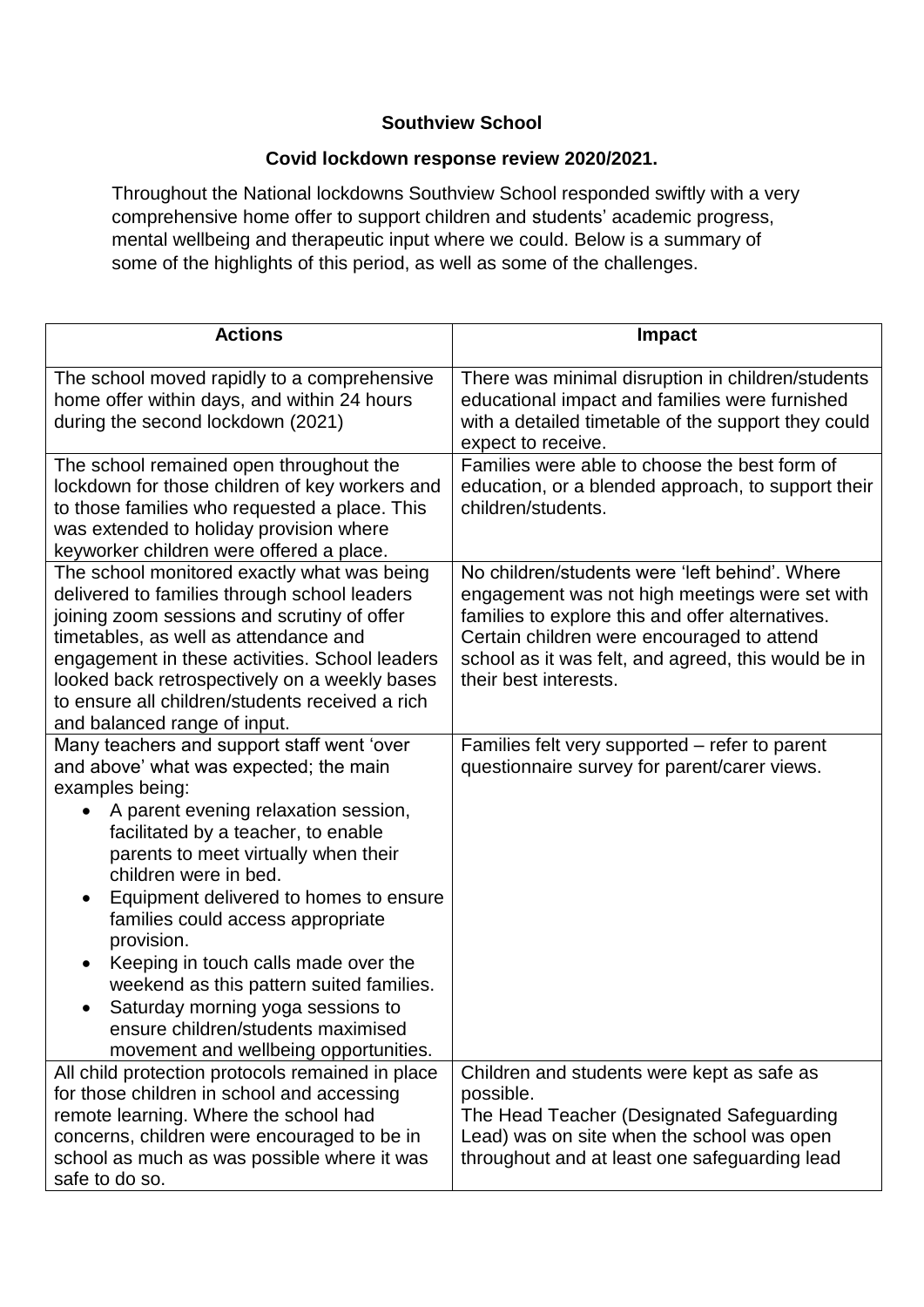## **Southview School**

## **Covid lockdown response review 2020/2021.**

Throughout the National lockdowns Southview School responded swiftly with a very comprehensive home offer to support children and students' academic progress, mental wellbeing and therapeutic input where we could. Below is a summary of some of the highlights of this period, as well as some of the challenges.

| <b>Actions</b>                                                                                                                                                                                                                                                                                                                                                                                                                                                                                                                                                            | <b>Impact</b>                                                                                                                                                                                                                                                                      |
|---------------------------------------------------------------------------------------------------------------------------------------------------------------------------------------------------------------------------------------------------------------------------------------------------------------------------------------------------------------------------------------------------------------------------------------------------------------------------------------------------------------------------------------------------------------------------|------------------------------------------------------------------------------------------------------------------------------------------------------------------------------------------------------------------------------------------------------------------------------------|
|                                                                                                                                                                                                                                                                                                                                                                                                                                                                                                                                                                           |                                                                                                                                                                                                                                                                                    |
| The school moved rapidly to a comprehensive<br>home offer within days, and within 24 hours<br>during the second lockdown (2021)                                                                                                                                                                                                                                                                                                                                                                                                                                           | There was minimal disruption in children/students<br>educational impact and families were furnished<br>with a detailed timetable of the support they could<br>expect to receive.                                                                                                   |
| The school remained open throughout the<br>lockdown for those children of key workers and<br>to those families who requested a place. This<br>was extended to holiday provision where<br>keyworker children were offered a place.                                                                                                                                                                                                                                                                                                                                         | Families were able to choose the best form of<br>education, or a blended approach, to support their<br>children/students.                                                                                                                                                          |
| The school monitored exactly what was being<br>delivered to families through school leaders<br>joining zoom sessions and scrutiny of offer<br>timetables, as well as attendance and<br>engagement in these activities. School leaders<br>looked back retrospectively on a weekly bases<br>to ensure all children/students received a rich<br>and balanced range of input.                                                                                                                                                                                                 | No children/students were 'left behind'. Where<br>engagement was not high meetings were set with<br>families to explore this and offer alternatives.<br>Certain children were encouraged to attend<br>school as it was felt, and agreed, this would be in<br>their best interests. |
| Many teachers and support staff went 'over<br>and above' what was expected; the main<br>examples being:<br>A parent evening relaxation session,<br>facilitated by a teacher, to enable<br>parents to meet virtually when their<br>children were in bed.<br>Equipment delivered to homes to ensure<br>families could access appropriate<br>provision.<br>Keeping in touch calls made over the<br>$\bullet$<br>weekend as this pattern suited families.<br>Saturday morning yoga sessions to<br>ensure children/students maximised<br>movement and wellbeing opportunities. | Families felt very supported - refer to parent<br>questionnaire survey for parent/carer views.                                                                                                                                                                                     |
| All child protection protocols remained in place<br>for those children in school and accessing<br>remote learning. Where the school had<br>concerns, children were encouraged to be in<br>school as much as was possible where it was<br>safe to do so.                                                                                                                                                                                                                                                                                                                   | Children and students were kept as safe as<br>possible.<br>The Head Teacher (Designated Safeguarding<br>Lead) was on site when the school was open<br>throughout and at least one safeguarding lead                                                                                |